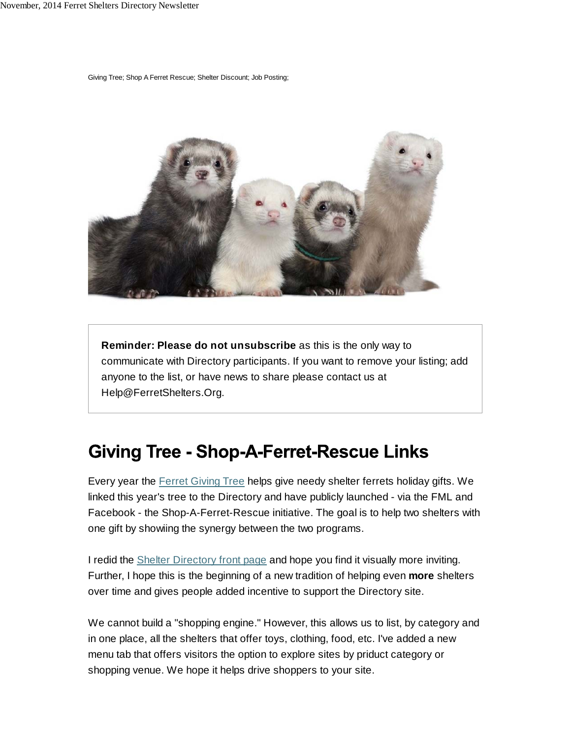Giving Tree; Shop A Ferret Rescue; Shelter Discount; Job Posting;



**Reminder: Please do not unsubscribe** as this is the only way to communicate with Directory participants. If you want to remove your listing; add anyone to the list, or have news to share please contact us at Help@FerretShelters.Org.

## **Giving Tree - Shop-A-Ferret-Rescue Links**

Every year the Ferret Giving Tree helps give needy shelter ferrets holiday gifts. We linked this year's tree to the Directory and have publicly launched - via the FML and Facebook - the Shop-A-Ferret-Rescue initiative. The goal is to help two shelters with one gift by showiing the synergy between the two programs.

I redid the Shelter Directory front page and hope you find it visually more inviting. Further, I hope this is the beginning of a new tradition of helping even **more** shelters over time and gives people added incentive to support the Directory site.

We cannot build a "shopping engine." However, this allows us to list, by category and in one place, all the shelters that offer toys, clothing, food, etc. I've added a new menu tab that offers visitors the option to explore sites by priduct category or shopping venue. We hope it helps drive shoppers to your site.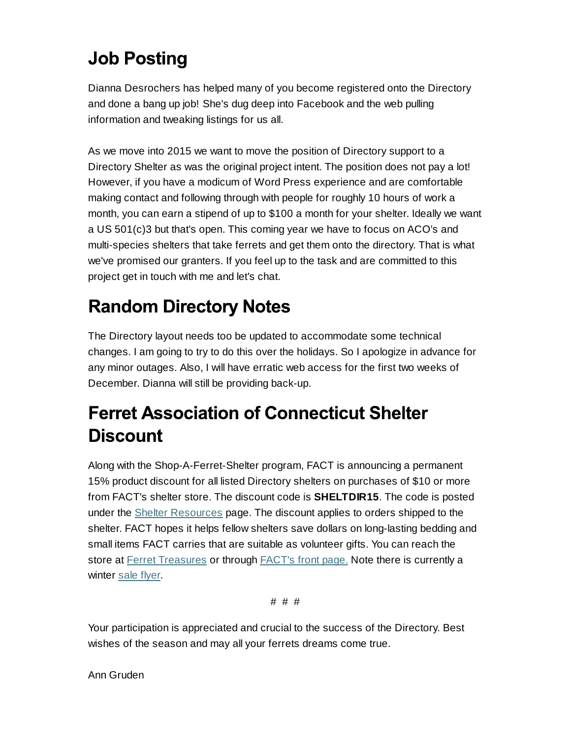## **Job Posting**

Dianna Desrochers has helped many of you become registered onto the Directory and done a bang up job! She's dug deep into Facebook and the web pulling information and tweaking listings for us all.

As we move into 2015 we want to move the position of Directory support to a Directory Shelter as was the original project intent. The position does not pay a lot! However, if you have a modicum of Word Press experience and are comfortable making contact and following through with people for roughly 10 hours of work a month, you can earn a stipend of up to \$100 a month for your shelter. Ideally we want a US 501(c)3 but that's open. This coming year we have to focus on ACO's and multi-species shelters that take ferrets and get them onto the directory. That is what we've promised our granters. If you feel up to the task and are committed to this project get in touch with me and let's chat.

## **Random Directory Notes**

The Directory layout needs too be updated to accommodate some technical changes. I am going to try to do this over the holidays. So I apologize in advance for any minor outages. Also, I will have erratic web access for the first two weeks of December. Dianna will still be providing back-up.

## **Ferret Association of Connecticut Shelter Discount**

Along with the Shop-A-Ferret-Shelter program, FACT is announcing a permanent 15% product discount for all listed Directory shelters on purchases of \$10 or more from FACT's shelter store. The discount code is **SHELTDIR15**. The code is posted under the Shelter Resources page. The discount applies to orders shipped to the shelter. FACT hopes it helps fellow shelters save dollars on long-lasting bedding and small items FACT carries that are suitable as volunteer gifts. You can reach the store at **Ferret Treasures** or through **FACT's front page.** Note there is currently a winter sale flyer.

# # #

Your participation is appreciated and crucial to the success of the Directory. Best wishes of the season and may all your ferrets dreams come true.

Ann Gruden